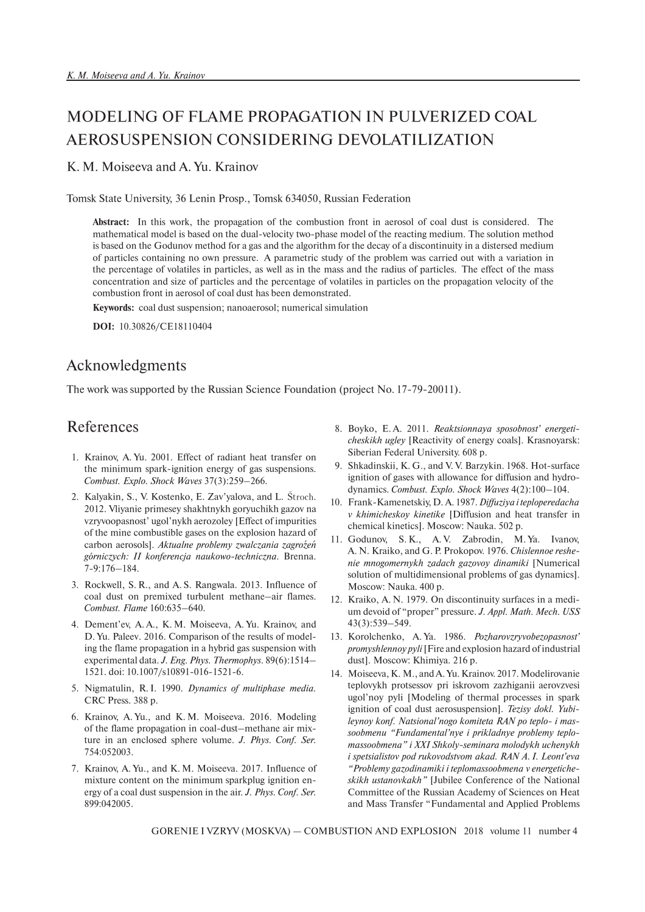# MODELING OF FLAME PROPAGATION IN PULVERIZED COAL AEROSUSPENSION CONSIDERING DEVOLATILIZATION

#### K. M. Moiseeva and A. Yu. Krainov

Tomsk State University, 36 Lenin Prosp., Tomsk 634050, Russian Federation

**Abstract:** In this work, the propagation of the combustion front in aerosol of coal dust is considered. The mathematical model is based on the dual-velocity two-phase model of the reacting medium. The solution method is based on the Godunov method for a gas and the algorithm for the decay of a discontinuity in a distersed medium of particles containing no own pressure. A parametric study of the problem was carried out with a variation in the percentage of volatiles in particles, as well as in the mass and the radius of particles. The effect of the mass concentration and size of particles and the percentage of volatiles in particles on the propagation velocity of the combustion front in aerosol of coal dust has been demonstrated.

**Keywords:** coal dust suspension; nanoaerosol; numerical simulation

**DOI:** 10.30826/CE18110404

### Acknowledgments

The work was supported by the Russian Science Foundation (project No. 17-79-20011).

### References

- 1. Krainov, A. Yu. 2001. Effect of radiant heat transfer on the minimum spark-ignition energy of gas suspensions. *Combust. Explo. Shock Waves* 37(3):259–266.
- 2. Kalyakin, S., V. Kostenko, E. Zav'yalova, and L. Stroch . 2012. Vliyanie primesey shakhtnykh goryuchikh gazov na vzryvoopasnost' ugol'nykh aerozoley [Effect of impurities of the mine combustible gases on the explosion hazard of carbon aerosols]. *Aktualne problemy zwalczania zagro*'*ze*'*n g*'*orniczych: II konferencja naukowo-techniczna*. Brenna. 7-9:176–184.
- 3. Rockwell, S. R., and A. S. Rangwala. 2013. Influence of coal dust on premixed turbulent methane–air flames. *Combust. Flame* 160:635–640.
- 4. Dement'ev, A. A., K. M. Moiseeva, A. Yu. Krainov, and D. Yu. Paleev. 2016. Comparison of the results of modeling the flame propagation in a hybrid gas suspension with experimental data. *J. Eng. Phys. Thermophys.* 89(6):1514– 1521. doi: 10.1007/s10891-016-1521-6.
- 5. Nigmatulin, R. I. 1990. *Dynamics of multiphase media.* CRC Press. 388 p.
- 6. Krainov, A. Yu., and K. M. Moiseeva. 2016. Modeling of the flame propagation in coal-dust–methane air mixture in an enclosed sphere volume. *J. Phys. Conf. Ser.* 754:052003.
- 7. Krainov, A. Yu., and K. M. Moiseeva. 2017. Influence of mixture content on the minimum sparkplug ignition energy of a coal dust suspension in the air. *J. Phys. Conf. Ser.* 899:042005.
- 8. Boyko, E. A. 2011. *Reaktsionnaya sposobnost' energeticheskikh ugley* [Reactivity of energy coals]. Krasnoyarsk: Siberian Federal University. 608 p.
- 9. Shkadinskii, K. G., and V. V. Barzykin. 1968. Hot-surface ignition of gases with allowance for diffusion and hydrodynamics. *Combust. Explo. Shock Waves* 4(2):100–104.
- 10. Frank-Kamenetskiy, D. A. 1987.*Diffuziya i teploperedacha v khimicheskoy kinetike* [Diffusion and heat transfer in chemical kinetics]. Moscow: Nauka. 502 p.
- 11. Godunov, S. K., A. V. Zabrodin, M. Ya. Ivanov, A. N. Kraiko, and G. P. Prokopov. 1976. *Chislennoe reshenie mnogomernykh zadach gazovoy dinamiki* [Numerical solution of multidimensional problems of gas dynamics]. Moscow: Nauka. 400 p.
- 12. Kraiko, A. N. 1979. On discontinuity surfaces in a medium devoid of "proper" pressure. *J. Appl. Math. Mech. USS* 43(3):539–549.
- 13. Korolchenko, A. Ya. 1986. *Pozharovzryvobezopasnost' promyshlennoy pyli*[Fire and explosion hazard of industrial dust]. Moscow: Khimiya. 216 p.
- 14. Moiseeva, K. M., and A. Yu. Krainov. 2017. Modelirovanie teplovykh protsessov pri iskrovom zazhiganii aerovzvesi ugol'noy pyli [Modeling of thermal processes in spark ignition of coal dust aerosuspension]. *Tezisy dokl. Yubileynoy konf. Natsional'nogo komiteta RAN po teplo- i massoobmenu "Fundamental'nye i prikladnye problemy teplomassoobmena" i XXI Shkoly-seminara molodykh uchenykh i spetsialistov pod rukovodstvom akad. RAN A. I. Leont'eva "Problemy gazodinamiki i teplomassoobmena v energeticheskikh ustanovkakh"* [Jubilee Conference of the National Committee of the Russian Academy of Sciences on Heat and Mass Transfer "Fundamental and Applied Problems

GORENIE I VZRYV (MOSKVA) — COMBUSTION AND EXPLOSION 2018 volume 11 number 4